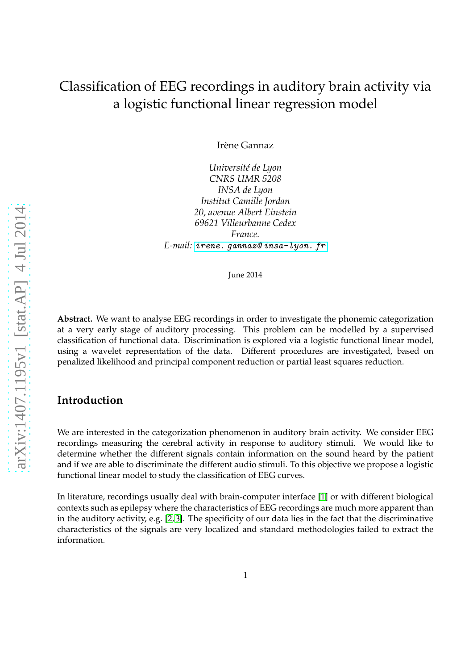# Classification of EEG recordings in auditory brain activity via a logistic functional linear regression model

Irène Gannaz

*Université de Lyon CNRS UMR 5208 INSA de Lyon Institut Camille Jordan 20, avenue Albert Einstein 69621 Villeurbanne Cedex France. E-mail: [irene. gannaz@ insa-lyon. fr](irene.gannaz@insa-lyon.fr)*

June 2014

**Abstract.** We want to analyse EEG recordings in order to investigate the phonemic categorization at a very early stage of auditory processing. This problem can be modelled by a supervised classification of functional data. Discrimination is explored via a logistic functional linear model, using a wavelet representation of the data. Different procedures are investigated, based on penalized likelihood and principal component reduction or partial least squares reduction.

#### **Introduction**

We are interested in the categorization phenomenon in auditory brain activity. We consider EEG recordings measuring the cerebral activity in response to auditory stimuli. We would like to determine whether the different signals contain information on the sound heard by the patient and if we are able to discriminate the different audio stimuli. To this objective we propose a logistic functional linear model to study the classification of EEG curves.

In literature, recordings usually deal with brain-computer interface [\[1\]](#page-5-0) or with different biological contexts such as epilepsy where the characteristics of EEG recordings are much more apparent than in the auditory activity, e.g. [\[2,](#page-5-1) [3\]](#page-5-2). The specificity of our data lies in the fact that the discriminative characteristics of the signals are very localized and standard methodologies failed to extract the information.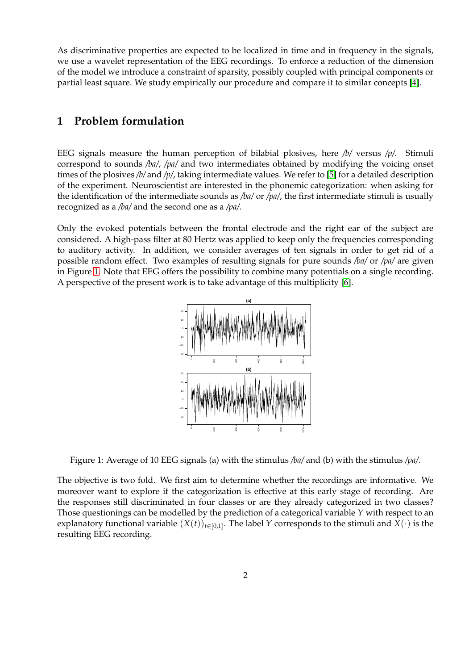As discriminative properties are expected to be localized in time and in frequency in the signals, we use a wavelet representation of the EEG recordings. To enforce a reduction of the dimension of the model we introduce a constraint of sparsity, possibly coupled with principal components or partial least square. We study empirically our procedure and compare it to similar concepts [\[4\]](#page-5-3).

## **1 Problem formulation**

EEG signals measure the human perception of bilabial plosives, here */b/* versus */p/*. Stimuli correspond to sounds */ba/*, */pa/* and two intermediates obtained by modifying the voicing onset times of the plosives */b/* and */p/*, taking intermediate values. We refer to [\[5\]](#page-5-4) for a detailed description of the experiment. Neuroscientist are interested in the phonemic categorization: when asking for the identification of the intermediate sounds as */ba/* or */pa/*, the first intermediate stimuli is usually recognized as a */ba/* and the second one as a */pa/*.

<span id="page-1-0"></span>Only the evoked potentials between the frontal electrode and the right ear of the subject are considered. A high-pass filter at 80 Hertz was applied to keep only the frequencies corresponding to auditory activity. In addition, we consider averages of ten signals in order to get rid of a possible random effect. Two examples of resulting signals for pure sounds */ba/* or */pa/* are given in Figure [1.](#page-1-0) Note that EEG offers the possibility to combine many potentials on a single recording. A perspective of the present work is to take advantage of this multiplicity [\[6\]](#page-5-5).



Figure 1: Average of 10 EEG signals (a) with the stimulus */ba/* and (b) with the stimulus */pa/*.

The objective is two fold. We first aim to determine whether the recordings are informative. We moreover want to explore if the categorization is effective at this early stage of recording. Are the responses still discriminated in four classes or are they already categorized in two classes? Those questionings can be modelled by the prediction of a categorical variable *Y* with respect to an explanatory functional variable  $(X(t))_{t\in[0,1]}$ . The label *Y* corresponds to the stimuli and  $X(\cdot)$  is the resulting EEG recording.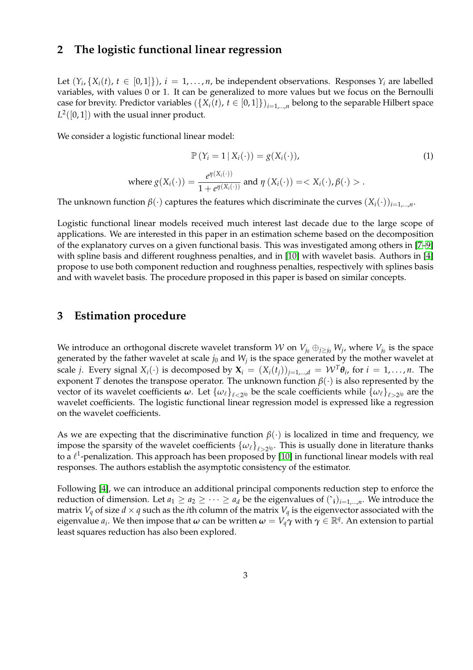## **2 The logistic functional linear regression**

Let  $(Y_i, \{X_i(t), t \in [0,1]\})$ ,  $i = 1, \ldots, n$ , be independent observations. Responses  $Y_i$  are labelled variables, with values 0 or 1. It can be generalized to more values but we focus on the Bernoulli case for brevity. Predictor variables  $(\{X_i(t), t \in [0,1]\})_{i=1,...,n}$  belong to the separable Hilbert space  $L^2([0,1])$  with the usual inner product.

We consider a logistic functional linear model:

$$
\mathbb{P}\left(Y_i = 1 \mid X_i(\cdot)\right) = g(X_i(\cdot)),
$$
\n
$$
\text{where } g(X_i(\cdot)) = \frac{e^{\eta(X_i(\cdot))}}{1 + e^{\eta(X_i(\cdot))}} \text{ and } \eta(X_i(\cdot)) = \langle X_i(\cdot), \beta(\cdot) \rangle. \tag{1}
$$

The unknown function  $\beta(\cdot)$  captures the features which discriminate the curves  $(X_i(\cdot))_{i=1,\dots,n}$ .

Logistic functional linear models received much interest last decade due to the large scope of applications. We are interested in this paper in an estimation scheme based on the decomposition of the explanatory curves on a given functional basis. This was investigated among others in [\[7](#page-5-6)[–9\]](#page-5-7) with spline basis and different roughness penalties, and in [\[10\]](#page-5-8) with wavelet basis. Authors in [\[4\]](#page-5-3) propose to use both component reduction and roughness penalties, respectively with splines basis and with wavelet basis. The procedure proposed in this paper is based on similar concepts.

#### **3 Estimation procedure**

We introduce an orthogonal discrete wavelet transform  ${\cal W}$  on  $V_{j_0}\oplus_{j\geq j_0} W_j$ , where  $V_{j_0}$  is the space generated by the father wavelet at scale  $j_0$  and  $W_j$  is the space generated by the mother wavelet at scale *j*. Every signal  $X_i(\cdot)$  is decomposed by  $\mathbf{X}_i = (X_i(t_j))_{j=1,...,d} = \mathcal{W}^T \boldsymbol{\theta}_i$ , for  $i = 1,...,n$ . The exponent *T* denotes the transpose operator. The unknown function *β*(·) is also represented by the vector of its wavelet coefficients  $\omega$ . Let  $\{\omega_\ell\}_{\ell<2^{j_0}}$  be the scale coefficients while  $\{\omega_\ell\}_{\ell>2^{j_0}}$  are the wavelet coefficients. The logistic functional linear regression model is expressed like a regression on the wavelet coefficients.

As we are expecting that the discriminative function  $\beta(\cdot)$  is localized in time and frequency, we impose the sparsity of the wavelet coefficients  $\{\omega_\ell\}_{\ell>2^{j_0}}$ . This is usually done in literature thanks to a  $\ell^1$ -penalization. This approach has been proposed by [\[10\]](#page-5-8) in functional linear models with real responses. The authors establish the asymptotic consistency of the estimator.

Following [\[4\]](#page-5-3), we can introduce an additional principal components reduction step to enforce the reduction of dimension. Let  $a_1 \ge a_2 \ge \cdots \ge a_d$  be the eigenvalues of  $(\cdot_i)_{i=1,\ldots,n}$ . We introduce the matrix *V<sub>a</sub>* of size  $d \times q$  such as the *i*th column of the matrix *V<sub>a</sub>* is the eigenvector associated with the eigenvalue  $a_i$ . We then impose that  $\omega$  can be written  $\omega = V_q\gamma$  with  $\gamma \in \mathbb{R}^q$ . An extension to partial least squares reduction has also been explored.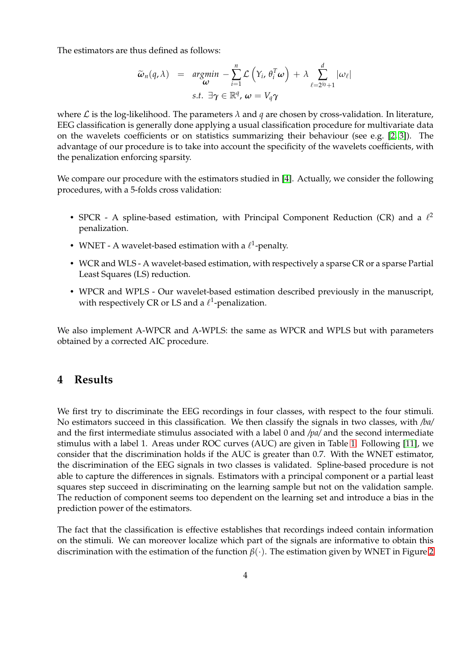The estimators are thus defined as follows:

$$
\widetilde{\omega}_n(q,\lambda) = \underset{\omega}{\arg\min} -\sum_{i=1}^n \mathcal{L}\left(Y_i, \theta_i^T \omega\right) + \lambda \sum_{\ell=2^{j_0}+1}^d |\omega_\ell|
$$
\n
$$
\text{s.t. } \exists \gamma \in \mathbb{R}^q, \omega = V_q \gamma
$$

where  $\mathcal L$  is the log-likelihood. The parameters  $\lambda$  and  $q$  are chosen by cross-validation. In literature, EEG classification is generally done applying a usual classification procedure for multivariate data on the wavelets coefficients or on statistics summarizing their behaviour (see e.g. [\[2,](#page-5-1) [3\]](#page-5-2)). The advantage of our procedure is to take into account the specificity of the wavelets coefficients, with the penalization enforcing sparsity.

We compare our procedure with the estimators studied in [\[4\]](#page-5-3). Actually, we consider the following procedures, with a 5-folds cross validation:

- SPCR A spline-based estimation, with Principal Component Reduction (CR) and a  $\ell^2$ penalization.
- WNET A wavelet-based estimation with a  $\ell^1$ -penalty.
- WCR and WLS A wavelet-based estimation, with respectively a sparse CR or a sparse Partial Least Squares (LS) reduction.
- WPCR and WPLS Our wavelet-based estimation described previously in the manuscript, with respectively CR or LS and a  $\ell^1$ -penalization.

We also implement A-WPCR and A-WPLS: the same as WPCR and WPLS but with parameters obtained by a corrected AIC procedure.

#### **4 Results**

We first try to discriminate the EEG recordings in four classes, with respect to the four stimuli. No estimators succeed in this classification. We then classify the signals in two classes, with */ba/* and the first intermediate stimulus associated with a label 0 and */pa/* and the second intermediate stimulus with a label 1. Areas under ROC curves (AUC) are given in Table [1.](#page-4-0) Following [\[11\]](#page-5-9), we consider that the discrimination holds if the AUC is greater than 0.7. With the WNET estimator, the discrimination of the EEG signals in two classes is validated. Spline-based procedure is not able to capture the differences in signals. Estimators with a principal component or a partial least squares step succeed in discriminating on the learning sample but not on the validation sample. The reduction of component seems too dependent on the learning set and introduce a bias in the prediction power of the estimators.

The fact that the classification is effective establishes that recordings indeed contain information on the stimuli. We can moreover localize which part of the signals are informative to obtain this discrimination with the estimation of the function *β*(·). The estimation given by WNET in Figure [2](#page-4-1)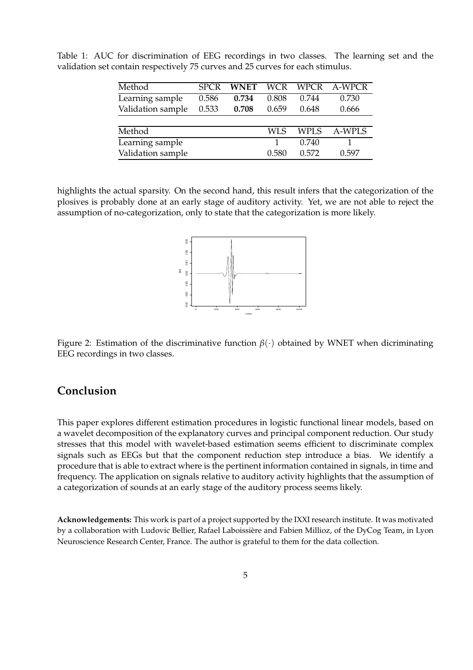| Method            | <b>SPCR</b> | <b>WNET</b> | <b>WCR</b> | <b>WPCR</b> | A-WPCR |
|-------------------|-------------|-------------|------------|-------------|--------|
| Learning sample   | 0.586       | 0.734       | 0.808      | 0.744       | 0.730  |
| Validation sample | 0.533       | 0.708       | 0.659      | 0.648       | 0.666  |
|                   |             |             |            |             |        |
| Method            |             |             | WLS        | <b>WPLS</b> | A-WPLS |
| Learning sample   |             |             |            | 0.740       |        |
| Validation sample |             |             | 0.580      | 0.572       | 0.597  |

<span id="page-4-0"></span>Table 1: AUC for discrimination of EEG recordings in two classes. The learning set and the validation set contain respectively 75 curves and 25 curves for each stimulus.

<span id="page-4-1"></span>highlights the actual sparsity. On the second hand, this result infers that the categorization of the plosives is probably done at an early stage of auditory activity. Yet, we are not able to reject the assumption of no-categorization, only to state that the categorization is more likely.



Figure 2: Estimation of the discriminative function *β*(·) obtained by WNET when dicriminating EEG recordings in two classes.

### **Conclusion**

This paper explores different estimation procedures in logistic functional linear models, based on a wavelet decomposition of the explanatory curves and principal component reduction. Our study stresses that this model with wavelet-based estimation seems efficient to discriminate complex signals such as EEGs but that the component reduction step introduce a bias. We identify a procedure that is able to extract where is the pertinent information contained in signals, in time and frequency. The application on signals relative to auditory activity highlights that the assumption of a categorization of sounds at an early stage of the auditory process seems likely.

**Acknowledgements:** This work is part of a project supported by the IXXI research institute. It was motivated by a collaboration with Ludovic Bellier, Rafael Laboissière and Fabien Millioz, of the DyCog Team, in Lyon Neuroscience Research Center, France. The author is grateful to them for the data collection.